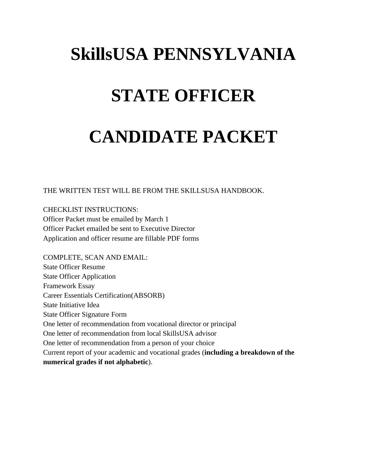# **SkillsUSA PENNSYLVANIA**

## **STATE OFFICER**

# **CANDIDATE PACKET**

THE WRITTEN TEST WILL BE FROM THE SKILLSUSA HANDBOOK.

CHECKLIST INSTRUCTIONS: Officer Packet must be emailed by March 1 Officer Packet emailed be sent to Executive Director Application and officer resume are fillable PDF forms

COMPLETE, SCAN AND EMAIL: State Officer Resume State Officer Application Framework Essay Career Essentials Certification(ABSORB) State Initiative Idea State Officer Signature Form One letter of recommendation from vocational director or principal One letter of recommendation from local SkillsUSA advisor One letter of recommendation from a person of your choice Current report of your academic and vocational grades (**including a breakdown of the numerical grades if not alphabetic**).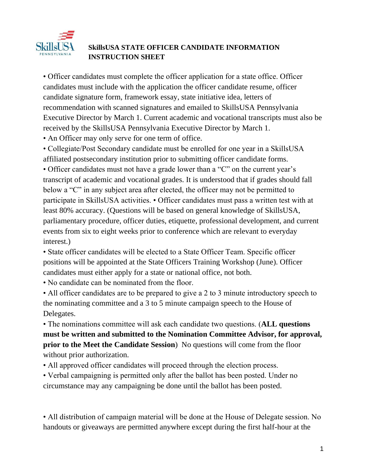

#### **SkillsUSA STATE OFFICER CANDIDATE INFORMATION INSTRUCTION SHEET**

• Officer candidates must complete the officer application for a state office. Officer candidates must include with the application the officer candidate resume, officer candidate signature form, framework essay, state initiative idea, letters of recommendation with scanned signatures and emailed to SkillsUSA Pennsylvania Executive Director by March 1. Current academic and vocational transcripts must also be received by the SkillsUSA Pennsylvania Executive Director by March 1.

• An Officer may only serve for one term of office.

• Collegiate/Post Secondary candidate must be enrolled for one year in a SkillsUSA affiliated postsecondary institution prior to submitting officer candidate forms.

• Officer candidates must not have a grade lower than a "C" on the current year's transcript of academic and vocational grades. It is understood that if grades should fall below a "C" in any subject area after elected, the officer may not be permitted to participate in SkillsUSA activities. • Officer candidates must pass a written test with at least 80% accuracy. (Questions will be based on general knowledge of SkillsUSA, parliamentary procedure, officer duties, etiquette, professional development, and current events from six to eight weeks prior to conference which are relevant to everyday interest.)

• State officer candidates will be elected to a State Officer Team. Specific officer positions will be appointed at the State Officers Training Workshop (June). Officer candidates must either apply for a state or national office, not both.

• No candidate can be nominated from the floor.

• All officer candidates are to be prepared to give a 2 to 3 minute introductory speech to the nominating committee and a 3 to 5 minute campaign speech to the House of Delegates.

• The nominations committee will ask each candidate two questions. (**ALL questions must be written and submitted to the Nomination Committee Advisor, for approval, prior to the Meet the Candidate Session**) No questions will come from the floor without prior authorization.

• All approved officer candidates will proceed through the election process.

• Verbal campaigning is permitted only after the ballot has been posted. Under no circumstance may any campaigning be done until the ballot has been posted.

• All distribution of campaign material will be done at the House of Delegate session. No handouts or giveaways are permitted anywhere except during the first half-hour at the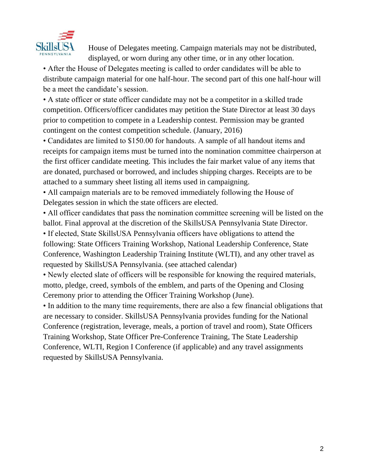

House of Delegates meeting. Campaign materials may not be distributed, displayed, or worn during any other time, or in any other location.

• After the House of Delegates meeting is called to order candidates will be able to distribute campaign material for one half-hour. The second part of this one half-hour will be a meet the candidate's session.

• A state officer or state officer candidate may not be a competitor in a skilled trade competition. Officers/officer candidates may petition the State Director at least 30 days prior to competition to compete in a Leadership contest. Permission may be granted contingent on the contest competition schedule. (January, 2016)

• Candidates are limited to \$150.00 for handouts. A sample of all handout items and receipts for campaign items must be turned into the nomination committee chairperson at the first officer candidate meeting. This includes the fair market value of any items that are donated, purchased or borrowed, and includes shipping charges. Receipts are to be attached to a summary sheet listing all items used in campaigning.

• All campaign materials are to be removed immediately following the House of Delegates session in which the state officers are elected.

• All officer candidates that pass the nomination committee screening will be listed on the ballot. Final approval at the discretion of the SkillsUSA Pennsylvania State Director.

• If elected, State SkillsUSA Pennsylvania officers have obligations to attend the following: State Officers Training Workshop, National Leadership Conference, State Conference, Washington Leadership Training Institute (WLTI), and any other travel as requested by SkillsUSA Pennsylvania. (see attached calendar)

• Newly elected slate of officers will be responsible for knowing the required materials, motto, pledge, creed, symbols of the emblem, and parts of the Opening and Closing Ceremony prior to attending the Officer Training Workshop (June).

• In addition to the many time requirements, there are also a few financial obligations that are necessary to consider. SkillsUSA Pennsylvania provides funding for the National Conference (registration, leverage, meals, a portion of travel and room), State Officers Training Workshop, State Officer Pre-Conference Training, The State Leadership Conference, WLTI, Region I Conference (if applicable) and any travel assignments requested by SkillsUSA Pennsylvania.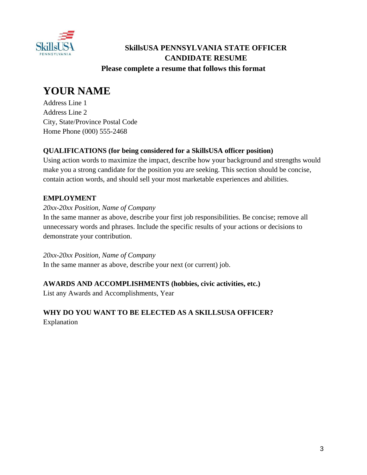

#### **SkillsUSA PENNSYLVANIA STATE OFFICER CANDIDATE RESUME Please complete a resume that follows this format**

### **YOUR NAME**

Address Line 1 Address Line 2 City, State/Province Postal Code Home Phone (000) 555-2468

#### **QUALIFICATIONS (for being considered for a SkillsUSA officer position)**

Using action words to maximize the impact, describe how your background and strengths would make you a strong candidate for the position you are seeking. This section should be concise, contain action words, and should sell your most marketable experiences and abilities.

#### **EMPLOYMENT**

#### *20xx-20xx Position, Name of Company*

In the same manner as above, describe your first job responsibilities. Be concise; remove all unnecessary words and phrases. Include the specific results of your actions or decisions to demonstrate your contribution.

*20xx-20xx Position, Name of Company*

In the same manner as above, describe your next (or current) job.

#### **AWARDS AND ACCOMPLISHMENTS (hobbies, civic activities, etc.)**

List any Awards and Accomplishments, Year

## **WHY DO YOU WANT TO BE ELECTED AS A SKILLSUSA OFFICER?**

Explanation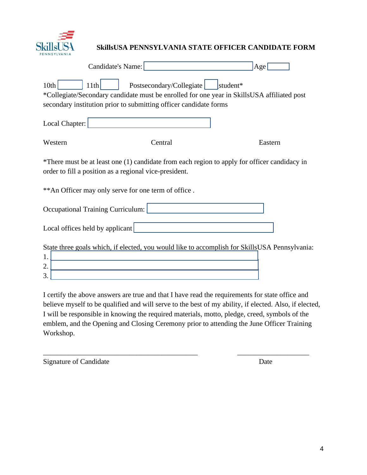

#### **SkillsUSA PENNSYLVANIA STATE OFFICER CANDIDATE FORM**

|                                                                                                                                                                                                                         | Candidate's Name:                                                                             | Age     |  |
|-------------------------------------------------------------------------------------------------------------------------------------------------------------------------------------------------------------------------|-----------------------------------------------------------------------------------------------|---------|--|
| 10th<br>Postsecondary/Collegiate<br>11th<br>student*<br>*Collegiate/Secondary candidate must be enrolled for one year in SkillsUSA affiliated post<br>secondary institution prior to submitting officer candidate forms |                                                                                               |         |  |
| Local Chapter:                                                                                                                                                                                                          |                                                                                               |         |  |
| Western                                                                                                                                                                                                                 | Central                                                                                       | Eastern |  |
| *There must be at least one (1) candidate from each region to apply for officer candidacy in<br>order to fill a position as a regional vice-president.                                                                  |                                                                                               |         |  |
| ** An Officer may only serve for one term of office.                                                                                                                                                                    |                                                                                               |         |  |
| Occupational Training Curriculum:                                                                                                                                                                                       |                                                                                               |         |  |
| Local offices held by applicant                                                                                                                                                                                         |                                                                                               |         |  |
| 1.<br>2.<br>3.                                                                                                                                                                                                          | State three goals which, if elected, you would like to accomplish for SkillsUSA Pennsylvania: |         |  |

I certify the above answers are true and that I have read the requirements for state office and believe myself to be qualified and will serve to the best of my ability, if elected. Also, if elected, I will be responsible in knowing the required materials, motto, pledge, creed, symbols of the emblem, and the Opening and Closing Ceremony prior to attending the June Officer Training Workshop.

\_\_\_\_\_\_\_\_\_\_\_\_\_\_\_\_\_\_\_\_\_\_\_\_\_\_\_\_\_\_\_\_\_\_\_\_\_\_\_\_\_\_\_ \_\_\_\_\_\_\_\_\_\_\_\_\_\_\_\_\_\_\_\_

Signature of Candidate Date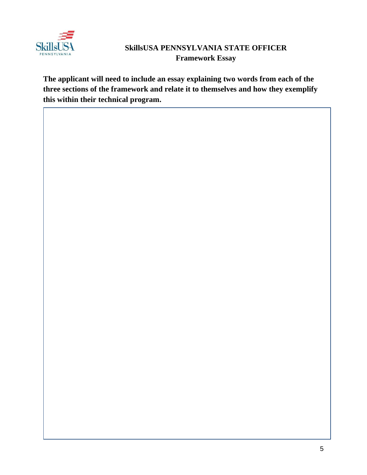

#### **SkillsUSA PENNSYLVANIA STATE OFFICER Framework Essay**

**The applicant will need to include an essay explaining two words from each of the three sections of the framework and relate it to themselves and how they exemplify this within their technical program.**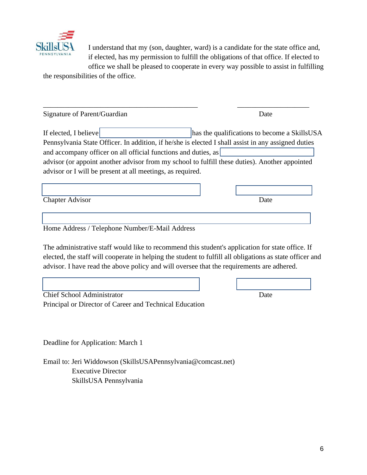

I understand that my (son, daughter, ward) is a candidate for the state office and, if elected, has my permission to fulfill the obligations of that office. If elected to

office we shall be pleased to cooperate in every way possible to assist in fulfilling the responsibilities of the office.

| Signature of Parent/Guardian                                                                                                                                          | Date                                         |  |
|-----------------------------------------------------------------------------------------------------------------------------------------------------------------------|----------------------------------------------|--|
| If elected, I believe                                                                                                                                                 | has the qualifications to become a SkillsUSA |  |
| Pennsylvania State Officer. In addition, if he/she is elected I shall assist in any assigned duties<br>and accompany officer on all official functions and duties, as |                                              |  |
| advisor (or appoint another advisor from my school to fulfill these duties). Another appointed                                                                        |                                              |  |
| advisor or I will be present at all meetings, as required.                                                                                                            |                                              |  |
|                                                                                                                                                                       |                                              |  |
| <b>Chapter Advisor</b>                                                                                                                                                | Date                                         |  |
|                                                                                                                                                                       |                                              |  |
| Home Address / Telephone Number/E-Mail Address                                                                                                                        |                                              |  |

The administrative staff would like to recommend this student's application for state office. If elected, the staff will cooperate in helping the student to fulfill all obligations as state officer and advisor. I have read the above policy and will oversee that the requirements are adhered.

 $\mathcal{L}_\text{max} = \mathcal{L}_\text{max} = \mathcal{L}_\text{max} = \mathcal{L}_\text{max} = \mathcal{L}_\text{max} = \mathcal{L}_\text{max} = \mathcal{L}_\text{max} = \mathcal{L}_\text{max} = \mathcal{L}_\text{max} = \mathcal{L}_\text{max} = \mathcal{L}_\text{max} = \mathcal{L}_\text{max} = \mathcal{L}_\text{max} = \mathcal{L}_\text{max} = \mathcal{L}_\text{max} = \mathcal{L}_\text{max} = \mathcal{L}_\text{max} = \mathcal{L}_\text{max} = \mathcal{$ Chief School Administrator Date Principal or Director of Career and Technical Education

Deadline for Application: March 1

Email to: Jeri Widdowson (SkillsUSAPennsylvania@comcast.net) Executive Director SkillsUSA Pennsylvania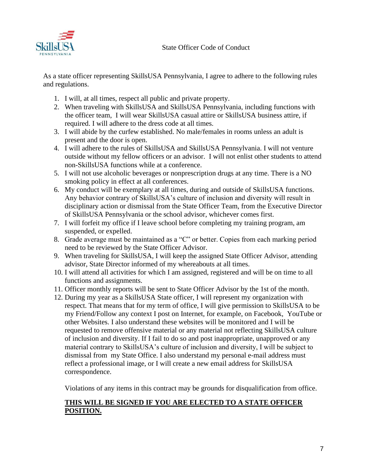

As a state officer representing SkillsUSA Pennsylvania, I agree to adhere to the following rules and regulations.

- 1. I will, at all times, respect all public and private property.
- 2. When traveling with SkillsUSA and SkillsUSA Pennsylvania, including functions with the officer team, I will wear SkillsUSA casual attire or SkillsUSA business attire, if required. I will adhere to the dress code at all times.
- 3. I will abide by the curfew established. No male/females in rooms unless an adult is present and the door is open.
- 4. I will adhere to the rules of SkillsUSA and SkillsUSA Pennsylvania. I will not venture outside without my fellow officers or an advisor. I will not enlist other students to attend non-SkillsUSA functions while at a conference.
- 5. I will not use alcoholic beverages or nonprescription drugs at any time. There is a NO smoking policy in effect at all conferences.
- 6. My conduct will be exemplary at all times, during and outside of SkillsUSA functions. Any behavior contrary of SkillsUSA's culture of inclusion and diversity will result in disciplinary action or dismissal from the State Officer Team, from the Executive Director of SkillsUSA Pennsylvania or the school advisor, whichever comes first.
- 7. I will forfeit my office if I leave school before completing my training program, am suspended, or expelled.
- 8. Grade average must be maintained as a "C" or better. Copies from each marking period need to be reviewed by the State Officer Advisor.
- 9. When traveling for SkillsUSA, I will keep the assigned State Officer Advisor, attending advisor, State Director informed of my whereabouts at all times.
- 10. I will attend all activities for which I am assigned, registered and will be on time to all functions and assignments.
- 11. Officer monthly reports will be sent to State Officer Advisor by the 1st of the month.
- 12. During my year as a SkillsUSA State officer, I will represent my organization with respect. That means that for my term of office, I will give permission to SkillsUSA to be my Friend/Follow any context I post on Internet, for example, on Facebook, YouTube or other Websites. I also understand these websites will be monitored and I will be requested to remove offensive material or any material not reflecting SkillsUSA culture of inclusion and diversity. If I fail to do so and post inappropriate, unapproved or any material contrary to SkillsUSA's culture of inclusion and diversity, I will be subject to dismissal from my State Office. I also understand my personal e-mail address must reflect a professional image, or I will create a new email address for SkillsUSA correspondence.

Violations of any items in this contract may be grounds for disqualification from office.

#### **THIS WILL BE SIGNED IF YOU ARE ELECTED TO A STATE OFFICER POSITION.**